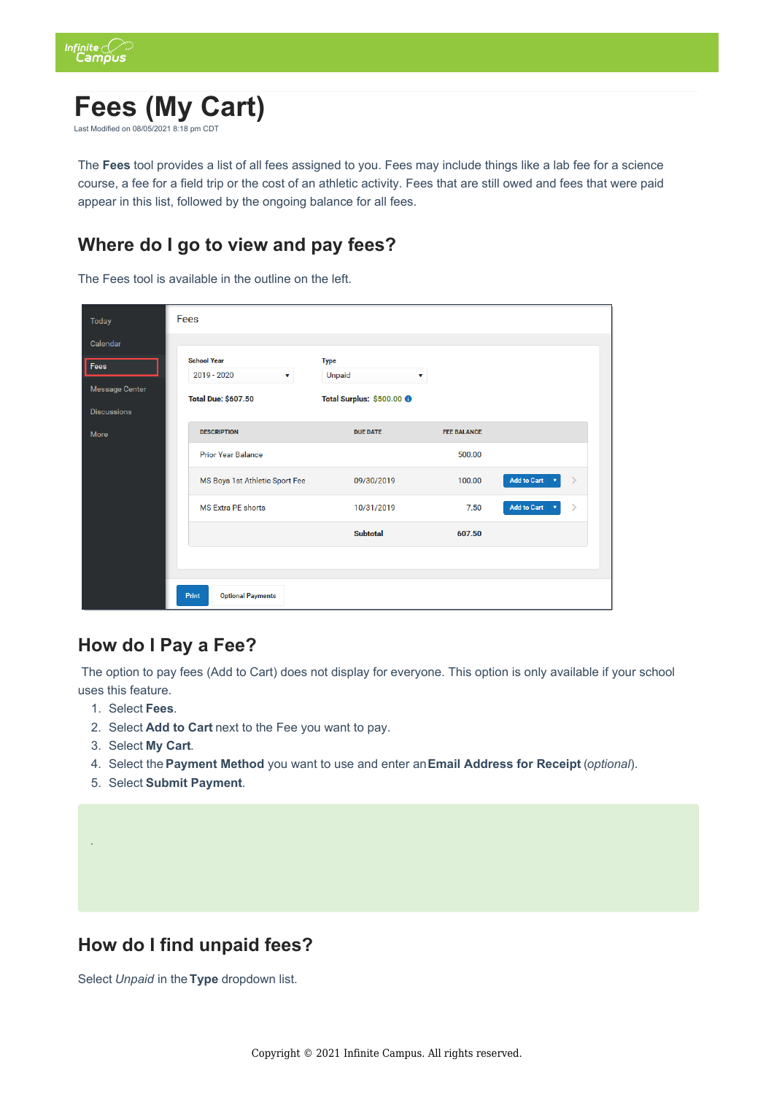

# **Fees (My Cart)**

Last Modified on  $08/05/202181$ :

The **Fees** tool provides a list of all fees assigned to you. Fees may include things like a lab fee for a science course, a fee for a field trip or the cost of an athletic activity. Fees that are still owed and fees that were paid appear in this list, followed by the ongoing balance for all fees.

## **Where do I go to view and pay fees?**

The Fees tool is available in the outline on the left.

| <b>Today</b>          | <b>Fees</b>                       |                                      |                    |                                                         |  |
|-----------------------|-----------------------------------|--------------------------------------|--------------------|---------------------------------------------------------|--|
| Calendar              |                                   |                                      |                    |                                                         |  |
| Fees                  | <b>School Year</b>                | <b>Type</b>                          |                    |                                                         |  |
| <b>Message Center</b> | 2019 - 2020<br>v                  | Unpaid<br>v                          |                    |                                                         |  |
| <b>Discussions</b>    | <b>Total Due: \$607.50</b>        | Total Surplus: \$500.00 <sup>O</sup> |                    |                                                         |  |
| More                  | <b>DESCRIPTION</b>                | <b>DUE DATE</b>                      | <b>FEE BALANCE</b> |                                                         |  |
|                       | <b>Prior Year Balance</b>         |                                      | 500.00             |                                                         |  |
|                       | MS Boys 1st Athletic Sport Fee    | 09/30/2019                           | 100.00             | <b>Add to Cart</b><br>$\rightarrow$                     |  |
|                       | <b>MS Extra PE shorts</b>         | 10/31/2019                           | 7.50               | <b>Add to Cart</b><br>$\left\langle \right\rangle$<br>v |  |
|                       |                                   | <b>Subtotal</b>                      | 607.50             |                                                         |  |
|                       |                                   |                                      |                    |                                                         |  |
|                       |                                   |                                      |                    |                                                         |  |
|                       | Print<br><b>Optional Payments</b> |                                      |                    |                                                         |  |

#### **How do I Pay a Fee?**

 The option to pay fees (Add to Cart) does not display for everyone. This option is only available if your school uses this feature.

- 1. Select **Fees**.
- 2. Select **Add to Cart** next to the Fee you want to pay.
- 3. Select **My Cart**.

.

- 4. Select the **Payment Method** you want to use and enter an **Email Address for Receipt** (*optional*).
- 5. Select **Submit Payment**.

### **How do I find unpaid fees?**

Select *Unpaid* in the **Type** dropdown list.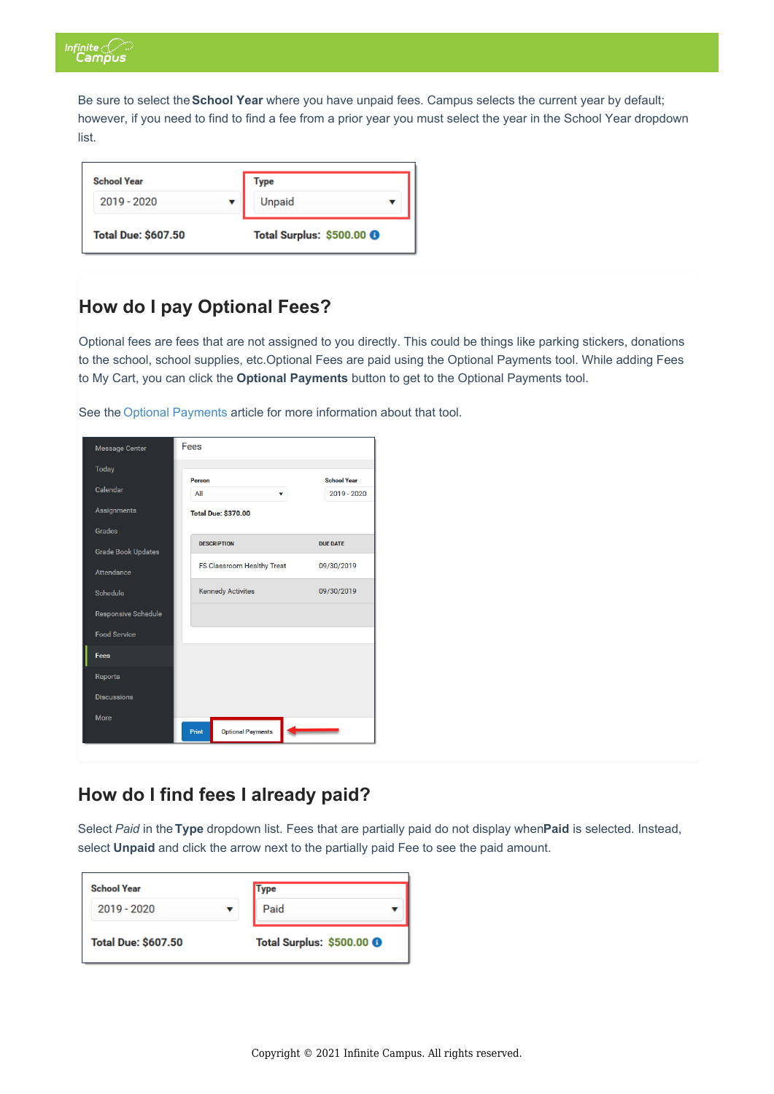

Be sure to select the **School Year** where you have unpaid fees. Campus selects the current year by default; however, if you need to find to find a fee from a prior year you must select the year in the School Year dropdown list.

| <b>School Year</b>         | Type                                 |
|----------------------------|--------------------------------------|
| 2019 - 2020                | Unpaid                               |
| <b>Total Due: \$607.50</b> | Total Surplus: \$500.00 <sup>6</sup> |

### **How do I pay Optional Fees?**

Optional fees are fees that are not assigned to you directly. This could be things like parking stickers, donations to the school, school supplies, etc.Optional Fees are paid using the Optional Payments tool. While adding Fees to My Cart, you can click the **Optional Payments** button to get to the Optional Payments tool.

See the Optional Payments article for more information about that tool.

| <b>Message Center</b>      | Fees                              |                                   |
|----------------------------|-----------------------------------|-----------------------------------|
| <b>Today</b>               |                                   |                                   |
| Calendar                   | Person<br>All<br>v                | <b>School Year</b><br>2019 - 2020 |
| Assignments                | <b>Total Due: \$370.00</b>        |                                   |
| Grades                     |                                   |                                   |
| <b>Grade Book Updates</b>  | <b>DESCRIPTION</b>                | <b>DUE DATE</b>                   |
| <b>Attendance</b>          | <b>FS Classroom Healthy Treat</b> | 09/30/2019                        |
| Schedule                   | <b>Kennedy Activites</b>          | 09/30/2019                        |
| <b>Responsive Schedule</b> |                                   |                                   |
| <b>Food Service</b>        |                                   |                                   |
| Fees                       |                                   |                                   |
| Reports                    |                                   |                                   |
| <b>Discussions</b>         |                                   |                                   |
| <b>More</b>                | Print<br><b>Optional Payments</b> |                                   |

#### **How do I find fees I already paid?**

Select *Paid* in the **Type** dropdown list. Fees that are partially paid do not display when **Paid** is selected. Instead, select **Unpaid** and click the arrow next to the partially paid Fee to see the paid amount.

| <b>School Year</b>         | Type                                 |  |
|----------------------------|--------------------------------------|--|
| 2019 - 2020                | Paid                                 |  |
| <b>Total Due: \$607.50</b> | Total Surplus: \$500.00 <sup>8</sup> |  |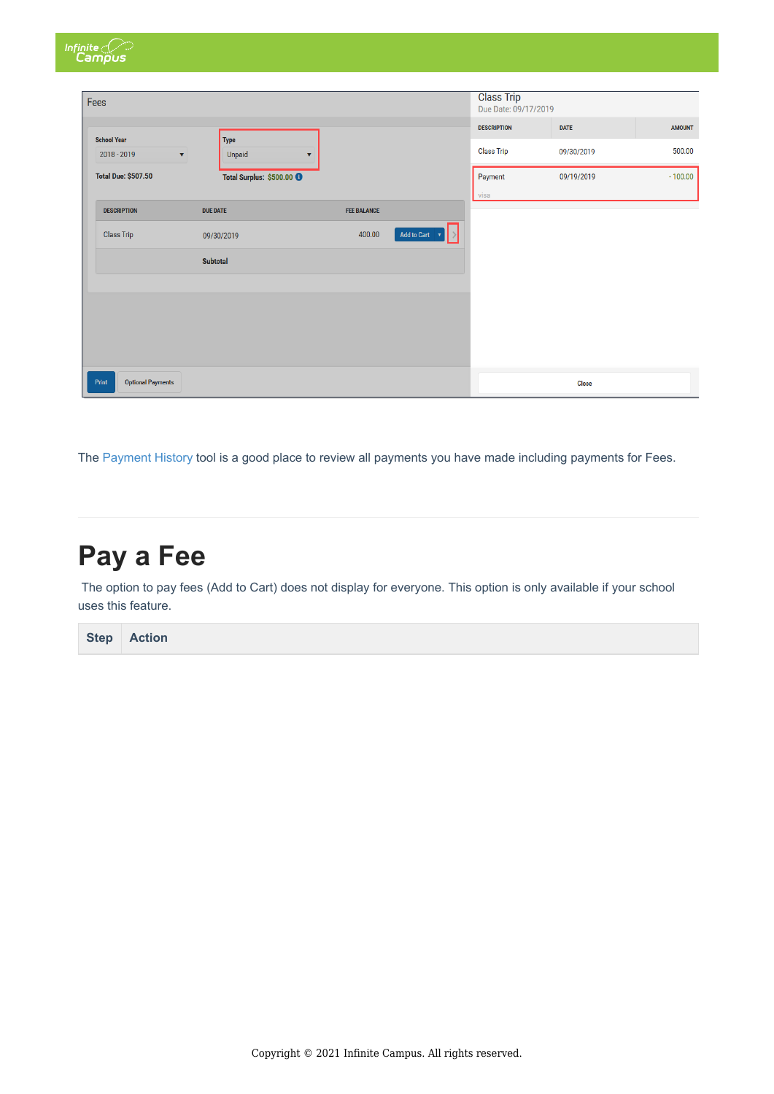| Infinite<br>Campus                |                                                               |                    |                               |                                           |              |               |
|-----------------------------------|---------------------------------------------------------------|--------------------|-------------------------------|-------------------------------------------|--------------|---------------|
| Fees                              |                                                               |                    |                               | <b>Class Trip</b><br>Due Date: 09/17/2019 |              |               |
| <b>School Year</b>                |                                                               |                    |                               | <b>DESCRIPTION</b>                        | <b>DATE</b>  | <b>AMOUNT</b> |
| 2018 - 2019                       | <b>Type</b><br>Unpaid<br>$\mathbf{v}$<br>$\blacktriangledown$ |                    |                               | <b>Class Trip</b>                         | 09/30/2019   | 500.00        |
| <b>Total Due: \$507.50</b>        | Total Surplus: \$500.00 0                                     |                    |                               | Payment                                   | 09/19/2019   | $-100.00$     |
| <b>DESCRIPTION</b>                | <b>DUE DATE</b>                                               | <b>FEE BALANCE</b> |                               | visa                                      |              |               |
| <b>Class Trip</b>                 | 09/30/2019                                                    | 400.00             | Add to Cart $\quad$ $\bullet$ |                                           |              |               |
|                                   | <b>Subtotal</b>                                               |                    |                               |                                           |              |               |
|                                   |                                                               |                    |                               |                                           |              |               |
|                                   |                                                               |                    |                               |                                           |              |               |
|                                   |                                                               |                    |                               |                                           |              |               |
|                                   |                                                               |                    |                               |                                           |              |               |
| <b>Optional Payments</b><br>Print |                                                               |                    |                               |                                           | <b>Close</b> |               |

The Payment History tool is a good place to review all payments you have made including payments for Fees.

## **Pay a Fee**

The option to pay fees (Add to Cart) does not display for everyone. This option is only available if your school uses this feature.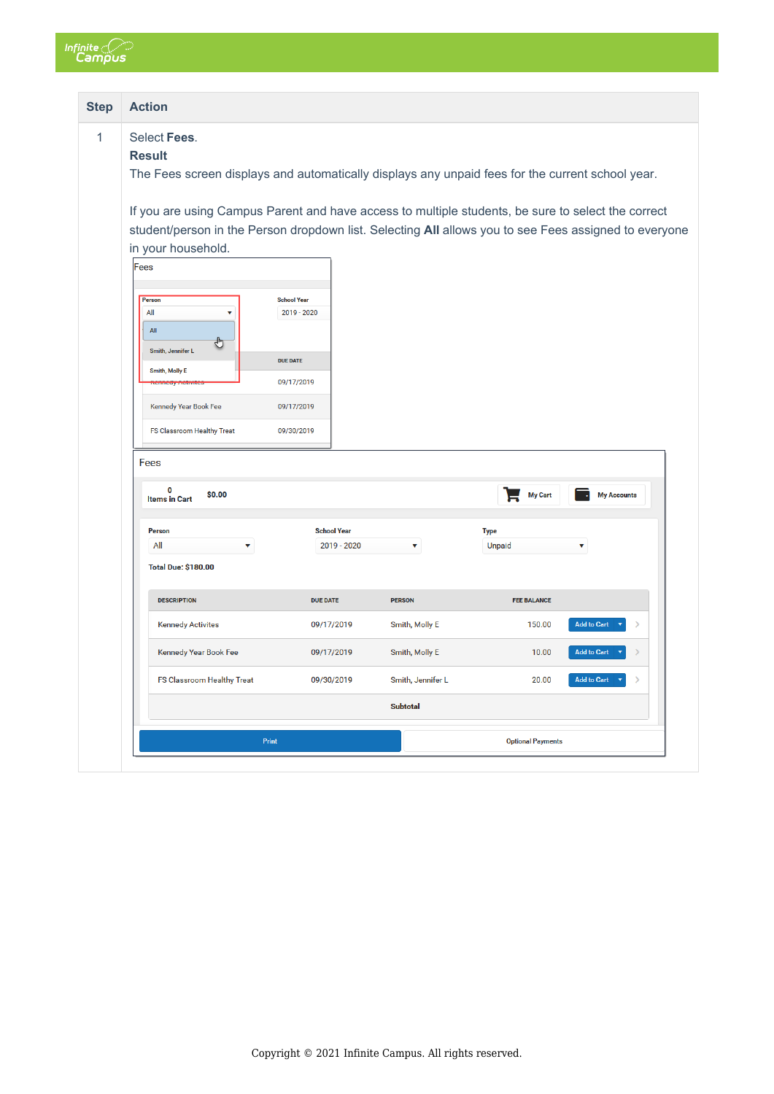

| <b>Step</b> | <b>Action</b>                                                                                                                                                                                                                                                                                                                                                                    |                                                                                                |                   |                              |                    |
|-------------|----------------------------------------------------------------------------------------------------------------------------------------------------------------------------------------------------------------------------------------------------------------------------------------------------------------------------------------------------------------------------------|------------------------------------------------------------------------------------------------|-------------------|------------------------------|--------------------|
|             | Select Fees.<br><b>Result</b><br>The Fees screen displays and automatically displays any unpaid fees for the current school year.                                                                                                                                                                                                                                                |                                                                                                |                   |                              |                    |
|             | If you are using Campus Parent and have access to multiple students, be sure to select the correct<br>student/person in the Person dropdown list. Selecting All allows you to see Fees assigned to everyone<br>in your household.<br>Fees<br>Person<br>All<br>$AII$<br>Smith, Jennifer L<br><b>Smith, Molly E</b><br>Kennedy Year Book Fee<br>FS Classroom Healthy Treat<br>Fees | <b>School Year</b><br>2019 - 2020<br><b>DUE DATE</b><br>09/17/2019<br>09/17/2019<br>09/30/2019 |                   |                              |                    |
|             | 0<br>\$0.00<br><b>Items in Cart</b>                                                                                                                                                                                                                                                                                                                                              |                                                                                                |                   | My Cart                      | <b>My Accounts</b> |
|             | Person<br>All<br><b>Total Due: \$180.00</b>                                                                                                                                                                                                                                                                                                                                      | <b>School Year</b><br>2019 - 2020                                                              |                   | <b>Type</b><br>Unpaid        |                    |
|             | <b>DESCRIPTION</b>                                                                                                                                                                                                                                                                                                                                                               | <b>DUE DATE</b>                                                                                | <b>PERSON</b>     | <b>FEE BALANCE</b>           |                    |
|             | <b>Kennedy Activites</b>                                                                                                                                                                                                                                                                                                                                                         | 09/17/2019                                                                                     | Smith, Molly E    | <b>Add to Cart</b><br>150.00 |                    |
|             | Kennedy Year Book Fee                                                                                                                                                                                                                                                                                                                                                            | 09/17/2019                                                                                     | Smith, Molly E    | 10.00<br><b>Add to Cart</b>  |                    |
|             | FS Classroom Healthy Treat                                                                                                                                                                                                                                                                                                                                                       | 09/30/2019                                                                                     | Smith, Jennifer L | 20.00<br><b>Add to Cart</b>  |                    |
|             |                                                                                                                                                                                                                                                                                                                                                                                  |                                                                                                | <b>Subtotal</b>   |                              |                    |
|             |                                                                                                                                                                                                                                                                                                                                                                                  |                                                                                                |                   |                              |                    |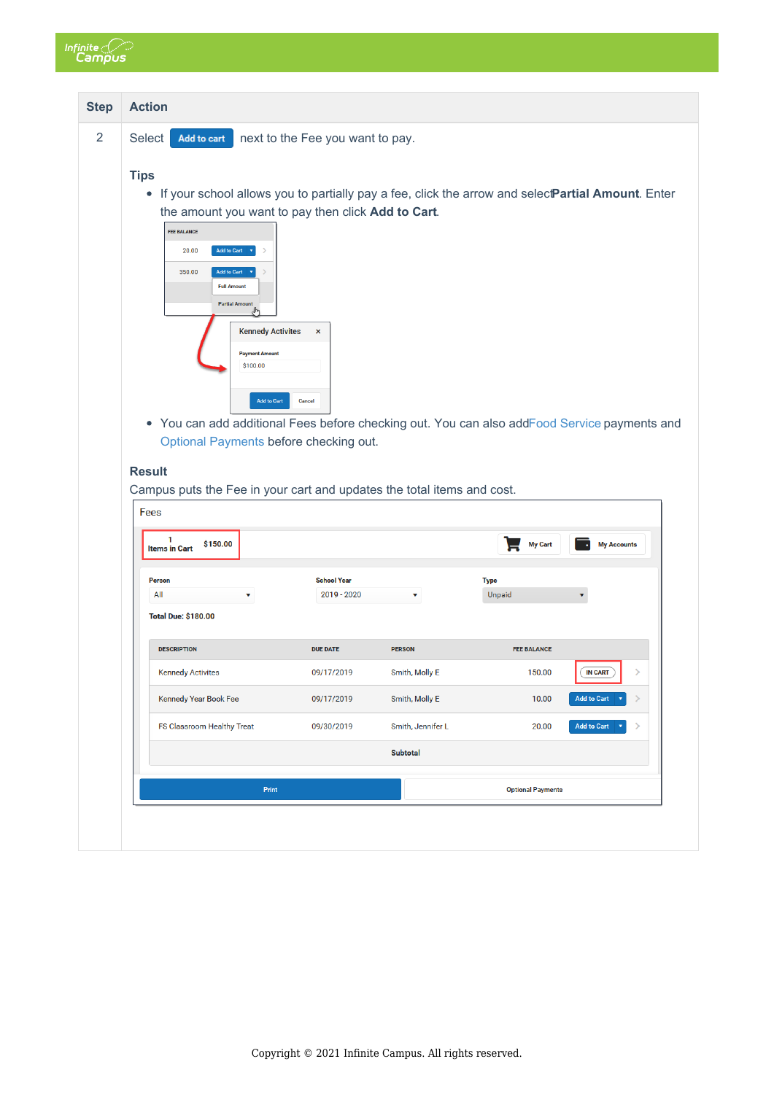

| <b>Action</b>                                                                                                                                                                                                                                                                                                                                                                                                             |                                  |                   |                    |                     |
|---------------------------------------------------------------------------------------------------------------------------------------------------------------------------------------------------------------------------------------------------------------------------------------------------------------------------------------------------------------------------------------------------------------------------|----------------------------------|-------------------|--------------------|---------------------|
| Select<br>Add to cart                                                                                                                                                                                                                                                                                                                                                                                                     | next to the Fee you want to pay. |                   |                    |                     |
| <b>Tips</b><br>• If your school allows you to partially pay a fee, click the arrow and selectPartial Amount. Enter<br>the amount you want to pay then click Add to Cart.<br><b>FEE BALANCE</b><br><b>Add to Cart</b><br>20.00<br>$\mathbf{v}$<br>350.00<br><b>Add to Cart</b><br><b>Full Amount</b><br><b>Partial Amount</b><br>"⊪<br><b>Kennedy Activites</b><br><b>Payment Amount</b><br>\$100.00<br><b>Add to Cart</b> | $\pmb{\times}$<br>Cancel         |                   |                    |                     |
| • You can add additional Fees before checking out. You can also addFood Service payments and<br>Optional Payments before checking out.<br><b>Result</b>                                                                                                                                                                                                                                                                   |                                  |                   |                    |                     |
| Campus puts the Fee in your cart and updates the total items and cost.<br>Fees                                                                                                                                                                                                                                                                                                                                            |                                  |                   |                    |                     |
| 1<br>\$150.00<br><b>Items in Cart</b>                                                                                                                                                                                                                                                                                                                                                                                     |                                  |                   | <b>My Cart</b>     | <b>My Accounts</b>  |
| Person                                                                                                                                                                                                                                                                                                                                                                                                                    | <b>School Year</b>               |                   | <b>Type</b>        |                     |
| All<br>۷<br><b>Total Due: \$180.00</b>                                                                                                                                                                                                                                                                                                                                                                                    | 2019 - 2020                      | v                 | Unpaid             |                     |
| <b>DESCRIPTION</b>                                                                                                                                                                                                                                                                                                                                                                                                        | <b>DUE DATE</b>                  | <b>PERSON</b>     | <b>FEE BALANCE</b> |                     |
| <b>Kennedy Activites</b>                                                                                                                                                                                                                                                                                                                                                                                                  | 09/17/2019                       | Smith, Molly E    | 150.00             | <b>IN CART</b><br>⋟ |
| Kennedy Year Book Fee                                                                                                                                                                                                                                                                                                                                                                                                     | 09/17/2019                       | Smith, Molly E    | 10.00              | <b>Add to Cart</b>  |
| FS Classroom Healthy Treat                                                                                                                                                                                                                                                                                                                                                                                                | 09/30/2019                       | Smith, Jennifer L | 20.00              | <b>Add to Cart</b>  |
|                                                                                                                                                                                                                                                                                                                                                                                                                           |                                  | <b>Subtotal</b>   |                    |                     |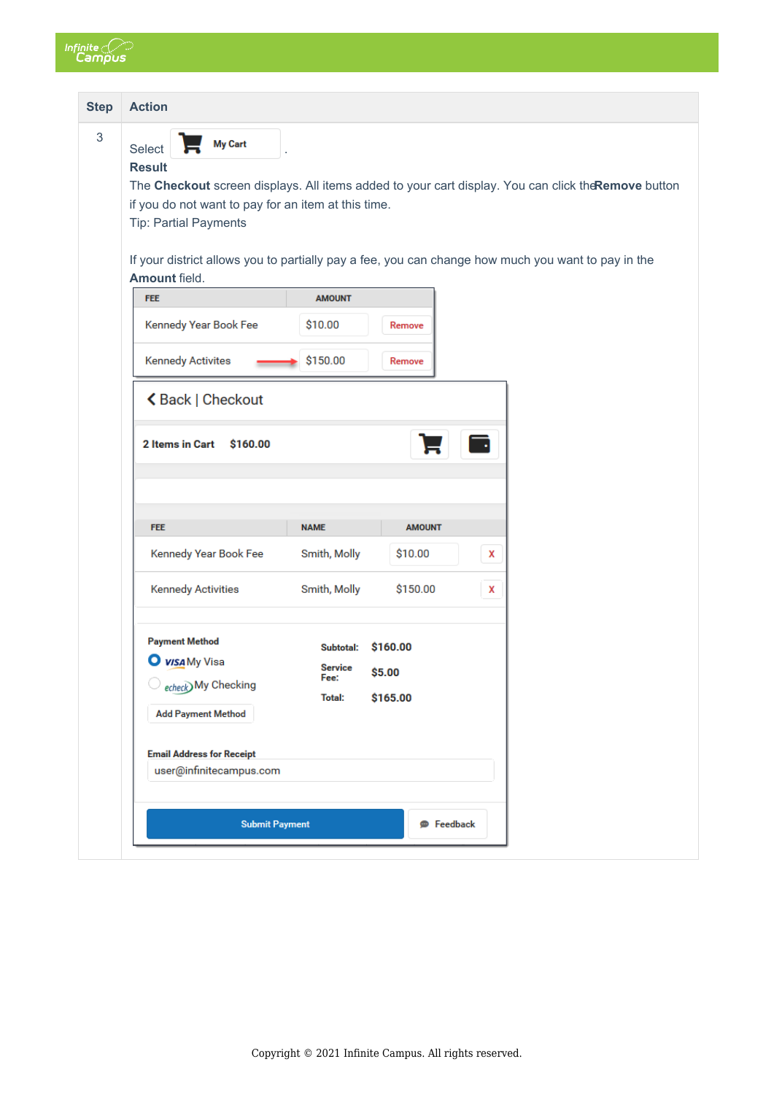

| <b>Step</b> | <b>Action</b>                                                                                                                                                                                                                                                                                                                                                  |                                                             |                                |   |  |
|-------------|----------------------------------------------------------------------------------------------------------------------------------------------------------------------------------------------------------------------------------------------------------------------------------------------------------------------------------------------------------------|-------------------------------------------------------------|--------------------------------|---|--|
| $\sqrt{3}$  | <b>My Cart</b><br>Select<br><b>Result</b><br>The Checkout screen displays. All items added to your cart display. You can click the Remove button<br>if you do not want to pay for an item at this time.<br><b>Tip: Partial Payments</b><br>If your district allows you to partially pay a fee, you can change how much you want to pay in the<br>Amount field. |                                                             |                                |   |  |
|             | <b>FEE</b>                                                                                                                                                                                                                                                                                                                                                     | <b>AMOUNT</b>                                               |                                |   |  |
|             | Kennedy Year Book Fee                                                                                                                                                                                                                                                                                                                                          | \$10.00                                                     | Remove                         |   |  |
|             | <b>Kennedy Activites</b>                                                                                                                                                                                                                                                                                                                                       | \$150.00                                                    | Remove                         |   |  |
|             | く Back   Checkout                                                                                                                                                                                                                                                                                                                                              |                                                             |                                |   |  |
|             | <b>2 Items in Cart</b><br>\$160.00<br><b>FEE</b>                                                                                                                                                                                                                                                                                                               | <b>NAME</b>                                                 | <b>AMOUNT</b>                  |   |  |
|             | Kennedy Year Book Fee                                                                                                                                                                                                                                                                                                                                          | Smith, Molly                                                | \$10.00                        | X |  |
|             | <b>Kennedy Activities</b>                                                                                                                                                                                                                                                                                                                                      | Smith, Molly                                                | \$150.00                       | X |  |
|             | <b>Payment Method</b><br><b>O</b> <i>visa</i> My Visa<br>echeck) My Checking<br><b>Add Payment Method</b>                                                                                                                                                                                                                                                      | <b>Subtotal:</b><br><b>Service</b><br>Fee:<br><b>Total:</b> | \$160.00<br>\$5.00<br>\$165.00 |   |  |
|             | <b>Email Address for Receipt</b><br>user@infinitecampus.com                                                                                                                                                                                                                                                                                                    |                                                             |                                |   |  |
|             | <b>Submit Payment</b>                                                                                                                                                                                                                                                                                                                                          |                                                             | <b>P</b> Feedback              |   |  |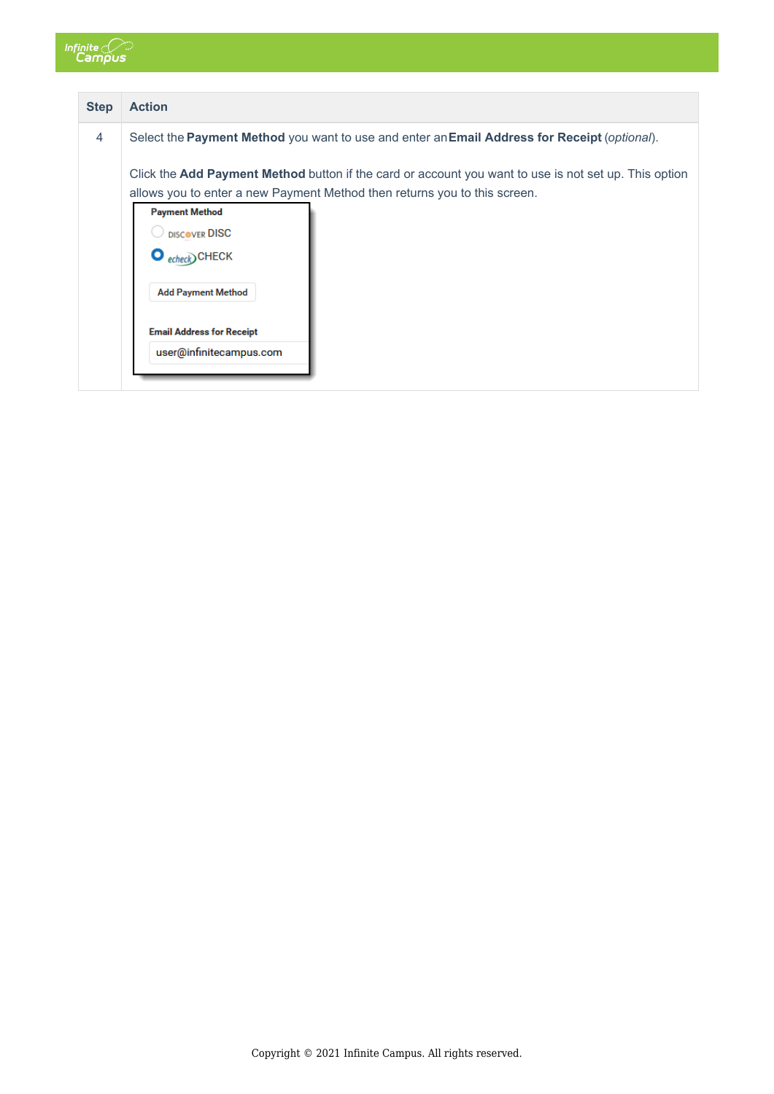

| <b>Step</b> | <b>Action</b>                                                                                                                                                                             |
|-------------|-------------------------------------------------------------------------------------------------------------------------------------------------------------------------------------------|
| 4           | Select the Payment Method you want to use and enter an Email Address for Receipt (optional).                                                                                              |
|             | Click the <b>Add Payment Method</b> button if the card or account you want to use is not set up. This option<br>allows you to enter a new Payment Method then returns you to this screen. |
|             | <b>Payment Method</b>                                                                                                                                                                     |
|             | DISCOVER DISC                                                                                                                                                                             |
|             | $\bullet$ echeck) CHECK                                                                                                                                                                   |
|             | <b>Add Payment Method</b>                                                                                                                                                                 |
|             | <b>Email Address for Receipt</b>                                                                                                                                                          |
|             | user@infinitecampus.com                                                                                                                                                                   |